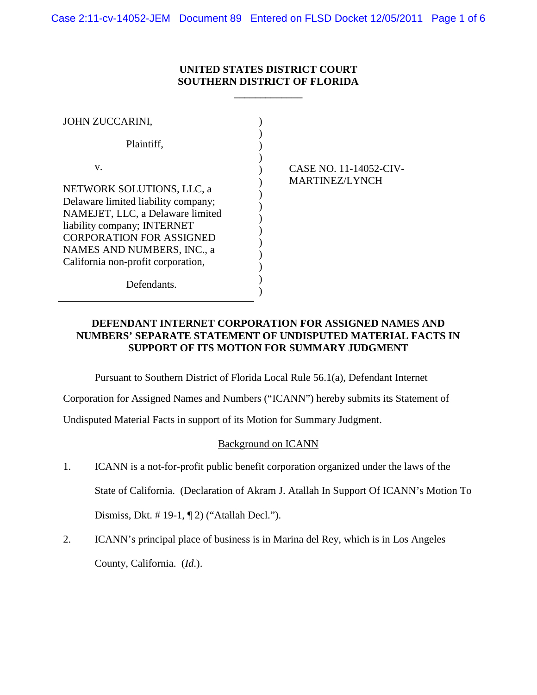### **UNITED STATES DISTRICT COURT SOUTHERN DISTRICT OF FLORIDA**

**\_\_\_\_\_\_\_\_\_\_\_\_\_**

| JOHN ZUCCARINI,                                                                                                                                                                                                                                  |                                                 |
|--------------------------------------------------------------------------------------------------------------------------------------------------------------------------------------------------------------------------------------------------|-------------------------------------------------|
| Plaintiff,                                                                                                                                                                                                                                       |                                                 |
| V.<br>NETWORK SOLUTIONS, LLC, a<br>Delaware limited liability company;<br>NAMEJET, LLC, a Delaware limited<br>liability company; INTERNET<br><b>CORPORATION FOR ASSIGNED</b><br>NAMES AND NUMBERS, INC., a<br>California non-profit corporation, | CASE NO. 11-14052-CIV-<br><b>MARTINEZ/LYNCH</b> |
| Defendants.                                                                                                                                                                                                                                      |                                                 |

## **DEFENDANT INTERNET CORPORATION FOR ASSIGNED NAMES AND NUMBERS' SEPARATE STATEMENT OF UNDISPUTED MATERIAL FACTS IN SUPPORT OF ITS MOTION FOR SUMMARY JUDGMENT**

Pursuant to Southern District of Florida Local Rule 56.1(a), Defendant Internet

Corporation for Assigned Names and Numbers ("ICANN") hereby submits its Statement of

Undisputed Material Facts in support of its Motion for Summary Judgment.

## Background on ICANN

- 1. ICANN is a not-for-profit public benefit corporation organized under the laws of the State of California. (Declaration of Akram J. Atallah In Support Of ICANN's Motion To Dismiss, Dkt. # 19-1, ¶ 2) ("Atallah Decl.").
- 2. ICANN's principal place of business is in Marina del Rey, which is in Los Angeles County, California. (*Id*.).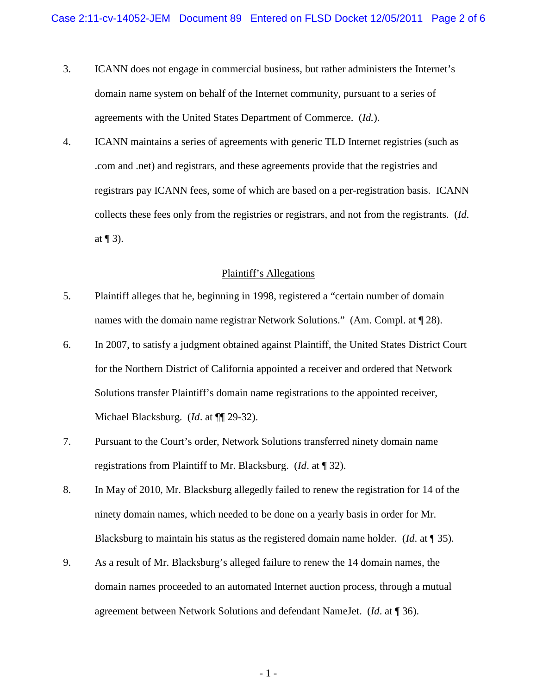- 3. ICANN does not engage in commercial business, but rather administers the Internet's domain name system on behalf of the Internet community, pursuant to a series of agreements with the United States Department of Commerce. (*Id.*).
- 4. ICANN maintains a series of agreements with generic TLD Internet registries (such as .com and .net) and registrars, and these agreements provide that the registries and registrars pay ICANN fees, some of which are based on a per-registration basis. ICANN collects these fees only from the registries or registrars, and not from the registrants. (*Id*. at  $\P$  3).

#### Plaintiff's Allegations

- 5. Plaintiff alleges that he, beginning in 1998, registered a "certain number of domain names with the domain name registrar Network Solutions." (Am. Compl. at  $\P$  28).
- 6. In 2007, to satisfy a judgment obtained against Plaintiff, the United States District Court for the Northern District of California appointed a receiver and ordered that Network Solutions transfer Plaintiff's domain name registrations to the appointed receiver, Michael Blacksburg. (*Id*. at ¶¶ 29-32).
- 7. Pursuant to the Court's order, Network Solutions transferred ninety domain name registrations from Plaintiff to Mr. Blacksburg. (*Id*. at ¶ 32).
- 8. In May of 2010, Mr. Blacksburg allegedly failed to renew the registration for 14 of the ninety domain names, which needed to be done on a yearly basis in order for Mr. Blacksburg to maintain his status as the registered domain name holder. (*Id*. at ¶ 35).
- 9. As a result of Mr. Blacksburg's alleged failure to renew the 14 domain names, the domain names proceeded to an automated Internet auction process, through a mutual agreement between Network Solutions and defendant NameJet. (*Id*. at ¶ 36).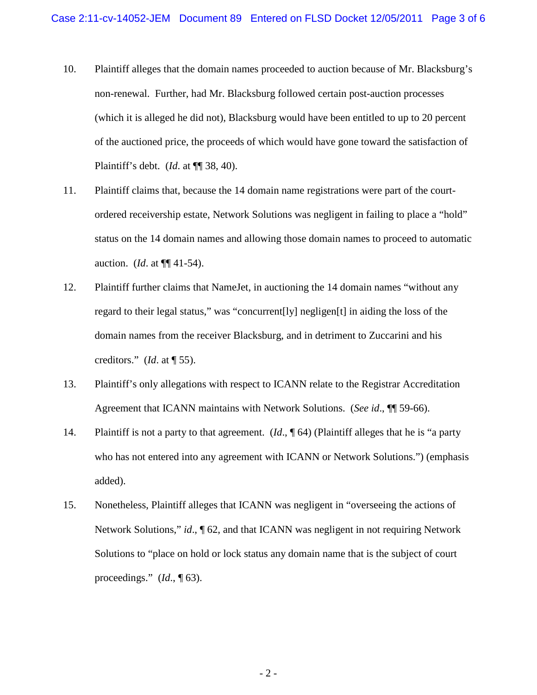- 10. Plaintiff alleges that the domain names proceeded to auction because of Mr. Blacksburg's non-renewal. Further, had Mr. Blacksburg followed certain post-auction processes (which it is alleged he did not), Blacksburg would have been entitled to up to 20 percent of the auctioned price, the proceeds of which would have gone toward the satisfaction of Plaintiff's debt. (*Id*. at ¶¶ 38, 40).
- 11. Plaintiff claims that, because the 14 domain name registrations were part of the courtordered receivership estate, Network Solutions was negligent in failing to place a "hold" status on the 14 domain names and allowing those domain names to proceed to automatic auction. (*Id*. at ¶¶ 41-54).
- 12. Plaintiff further claims that NameJet, in auctioning the 14 domain names "without any regard to their legal status," was "concurrent[ly] negligen[t] in aiding the loss of the domain names from the receiver Blacksburg, and in detriment to Zuccarini and his creditors." (*Id*. at ¶ 55).
- 13. Plaintiff's only allegations with respect to ICANN relate to the Registrar Accreditation Agreement that ICANN maintains with Network Solutions. (*See id*., ¶¶ 59-66).
- 14. Plaintiff is not a party to that agreement. (*Id*., ¶ 64) (Plaintiff alleges that he is "a party who has not entered into any agreement with ICANN or Network Solutions.") (emphasis added).
- 15. Nonetheless, Plaintiff alleges that ICANN was negligent in "overseeing the actions of Network Solutions," *id*., ¶ 62, and that ICANN was negligent in not requiring Network Solutions to "place on hold or lock status any domain name that is the subject of court proceedings." (*Id*., ¶ 63).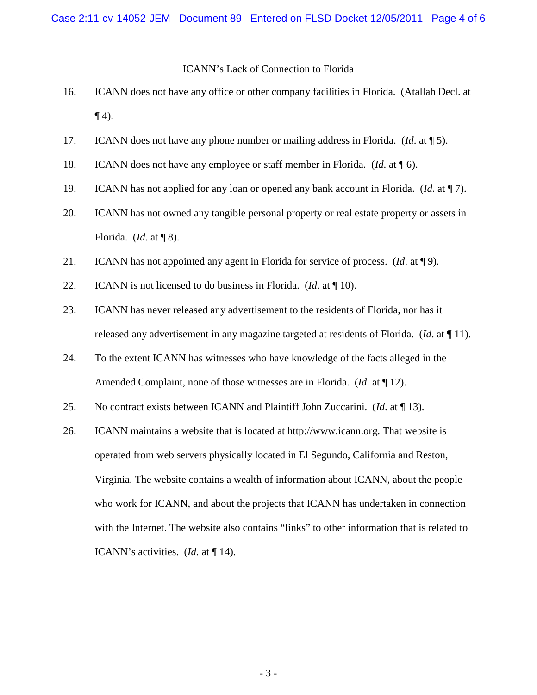### ICANN's Lack of Connection to Florida

- 16. ICANN does not have any office or other company facilities in Florida. (Atallah Decl. at  $\P(4)$ .
- 17. ICANN does not have any phone number or mailing address in Florida. (*Id*. at ¶ 5).
- 18. ICANN does not have any employee or staff member in Florida. (*Id*. at ¶ 6).
- 19. ICANN has not applied for any loan or opened any bank account in Florida. (*Id*. at ¶ 7).
- 20. ICANN has not owned any tangible personal property or real estate property or assets in Florida. (*Id*. at ¶ 8).
- 21. ICANN has not appointed any agent in Florida for service of process. (*Id*. at ¶ 9).
- 22. ICANN is not licensed to do business in Florida. (*Id*. at ¶ 10).
- 23. ICANN has never released any advertisement to the residents of Florida, nor has it released any advertisement in any magazine targeted at residents of Florida. (*Id*. at ¶ 11).
- 24. To the extent ICANN has witnesses who have knowledge of the facts alleged in the Amended Complaint, none of those witnesses are in Florida. (*Id*. at ¶ 12).
- 25. No contract exists between ICANN and Plaintiff John Zuccarini. (*Id*. at ¶ 13).
- 26. ICANN maintains a website that is located at http://www.icann.org. That website is operated from web servers physically located in El Segundo, California and Reston, Virginia. The website contains a wealth of information about ICANN, about the people who work for ICANN, and about the projects that ICANN has undertaken in connection with the Internet. The website also contains "links" to other information that is related to ICANN's activities. (*Id.* at ¶ 14).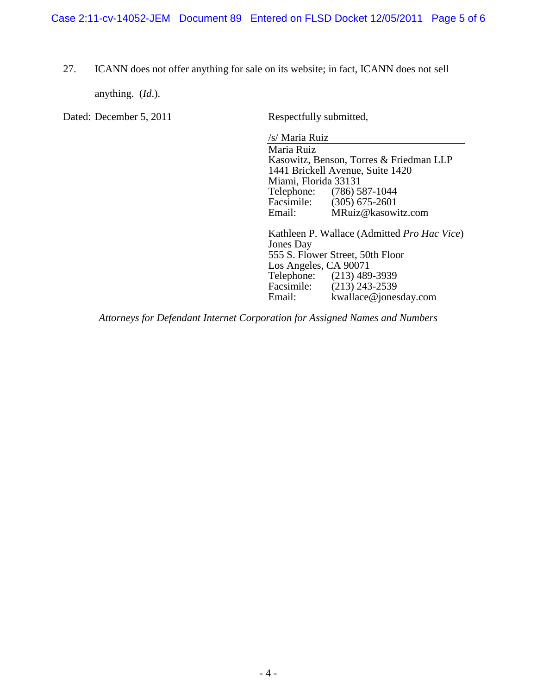27. ICANN does not offer anything for sale on its website; in fact, ICANN does not sell

anything. (*Id*.).

Dated: December 5, 2011 Respectfully submitted,

/s/ Maria Ruiz Maria Ruiz Kasowitz, Benson, Torres & Friedman LLP 1441 Brickell Avenue, Suite 1420 Miami, Florida 33131<br>Telephone: (786) 5 Telephone: (786) 587-1044<br>Facsimile: (305) 675-2601 Facsimile: (305) 675-2601<br>Email: MRuiz@kasow MRuiz@kasowitz.com Kathleen P. Wallace (Admitted *Pro Hac Vice*) Jones Day 555 S. Flower Street, 50th Floor Los Angeles, CA 90071<br>Telephone: (213) 489 Telephone: (213) 489-3939<br>Facsimile: (213) 243-2539 Facsimile: (213) 243-2539<br>Email: kwallace@iones kwallace@jonesday.com

*Attorneys for Defendant Internet Corporation for Assigned Names and Numbers*